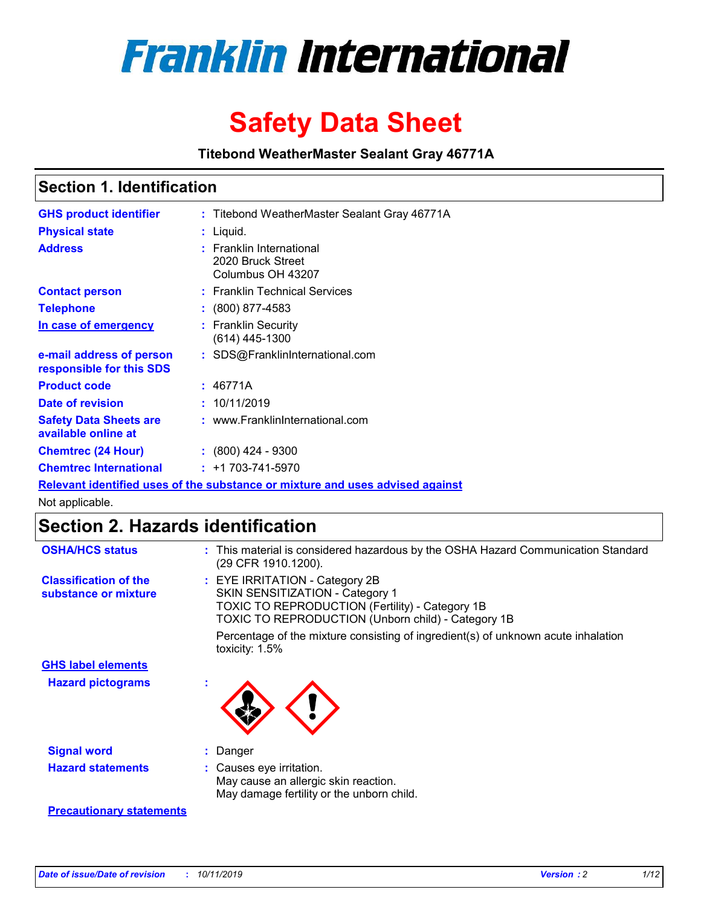

# **Safety Data Sheet**

**Titebond WeatherMaster Sealant Gray 46771A**

### **Section 1. Identification**

| <b>GHS product identifier</b>                        | : Titebond WeatherMaster Sealant Gray 46771A                                  |
|------------------------------------------------------|-------------------------------------------------------------------------------|
| <b>Physical state</b>                                | : Liquid.                                                                     |
| <b>Address</b>                                       | : Franklin International<br>2020 Bruck Street<br>Columbus OH 43207            |
| <b>Contact person</b>                                | : Franklin Technical Services                                                 |
| <b>Telephone</b>                                     | $\colon$ (800) 877-4583                                                       |
| In case of emergency                                 | : Franklin Security<br>(614) 445-1300                                         |
| e-mail address of person<br>responsible for this SDS | : SDS@FranklinInternational.com                                               |
| <b>Product code</b>                                  | : 46771A                                                                      |
| Date of revision                                     | : 10/11/2019                                                                  |
| <b>Safety Data Sheets are</b><br>available online at | : www.FranklinInternational.com                                               |
| <b>Chemtrec (24 Hour)</b>                            | $\div$ (800) 424 - 9300                                                       |
| <b>Chemtrec International</b>                        | $: +1703 - 741 - 5970$                                                        |
|                                                      | Relevant identified uses of the substance or mixture and uses advised against |

Not applicable.

## **Section 2. Hazards identification**

| <b>OSHA/HCS status</b>                               | : This material is considered hazardous by the OSHA Hazard Communication Standard<br>(29 CFR 1910.1200).                                                                          |
|------------------------------------------------------|-----------------------------------------------------------------------------------------------------------------------------------------------------------------------------------|
| <b>Classification of the</b><br>substance or mixture | : EYE IRRITATION - Category 2B<br>SKIN SENSITIZATION - Category 1<br><b>TOXIC TO REPRODUCTION (Fertility) - Category 1B</b><br>TOXIC TO REPRODUCTION (Unborn child) - Category 1B |
|                                                      | Percentage of the mixture consisting of ingredient(s) of unknown acute inhalation<br>toxicity: $1.5\%$                                                                            |
| <b>GHS label elements</b>                            |                                                                                                                                                                                   |
| <b>Hazard pictograms</b>                             |                                                                                                                                                                                   |
| <b>Signal word</b>                                   | : Danger                                                                                                                                                                          |
| <b>Hazard statements</b>                             | : Causes eye irritation.<br>May cause an allergic skin reaction.<br>May damage fertility or the unborn child.                                                                     |
| <b>Precautionary statements</b>                      |                                                                                                                                                                                   |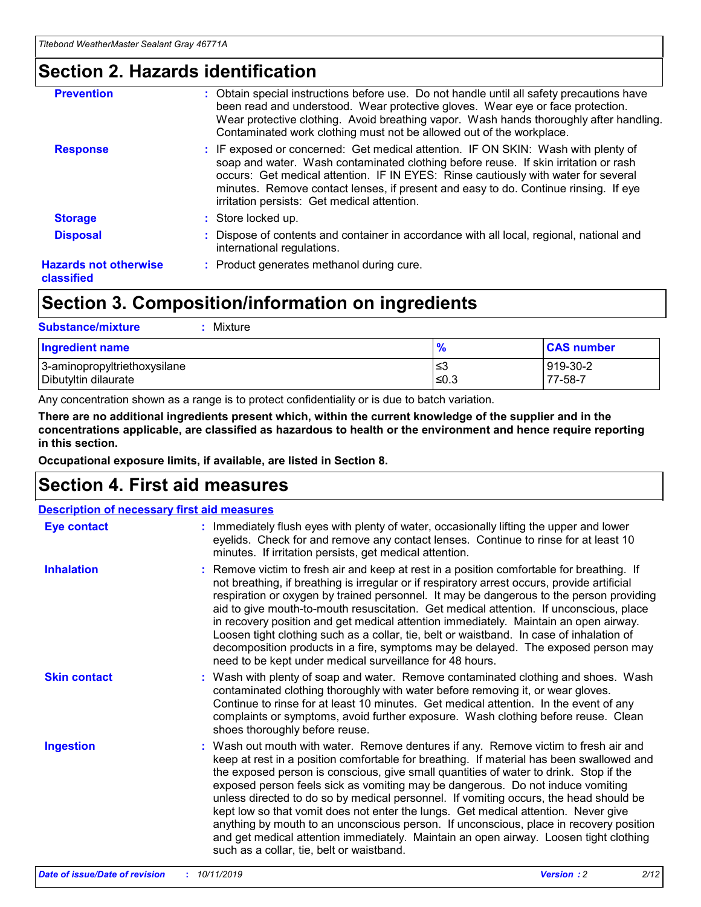### **Section 2. Hazards identification**

| <b>Prevention</b>                          | : Obtain special instructions before use. Do not handle until all safety precautions have<br>been read and understood. Wear protective gloves. Wear eye or face protection.<br>Wear protective clothing. Avoid breathing vapor. Wash hands thoroughly after handling.<br>Contaminated work clothing must not be allowed out of the workplace.                                                        |
|--------------------------------------------|------------------------------------------------------------------------------------------------------------------------------------------------------------------------------------------------------------------------------------------------------------------------------------------------------------------------------------------------------------------------------------------------------|
| <b>Response</b>                            | : IF exposed or concerned: Get medical attention. IF ON SKIN: Wash with plenty of<br>soap and water. Wash contaminated clothing before reuse. If skin irritation or rash<br>occurs: Get medical attention. IF IN EYES: Rinse cautiously with water for several<br>minutes. Remove contact lenses, if present and easy to do. Continue rinsing. If eye<br>irritation persists: Get medical attention. |
| <b>Storage</b>                             | : Store locked up.                                                                                                                                                                                                                                                                                                                                                                                   |
| <b>Disposal</b>                            | : Dispose of contents and container in accordance with all local, regional, national and<br>international regulations.                                                                                                                                                                                                                                                                               |
| <b>Hazards not otherwise</b><br>classified | : Product generates methanol during cure.                                                                                                                                                                                                                                                                                                                                                            |
|                                            |                                                                                                                                                                                                                                                                                                                                                                                                      |

## **Section 3. Composition/information on ingredients**

| <b>Substance/mixture</b><br>: Mixture                |               |                     |
|------------------------------------------------------|---------------|---------------------|
| Ingredient name                                      | $\frac{9}{6}$ | <b>CAS number</b>   |
| 3-aminopropyltriethoxysilane<br>Dibutyltin dilaurate | צ≥<br>≤0.3    | 919-30-2<br>77-58-7 |

Any concentration shown as a range is to protect confidentiality or is due to batch variation.

**There are no additional ingredients present which, within the current knowledge of the supplier and in the concentrations applicable, are classified as hazardous to health or the environment and hence require reporting in this section.**

**Occupational exposure limits, if available, are listed in Section 8.**

## **Section 4. First aid measures**

| <b>Description of necessary first aid measures</b> |                                                                                                                                                                                                                                                                                                                                                                                                                                                                                                                                                                                                                                                                                                                                                                           |
|----------------------------------------------------|---------------------------------------------------------------------------------------------------------------------------------------------------------------------------------------------------------------------------------------------------------------------------------------------------------------------------------------------------------------------------------------------------------------------------------------------------------------------------------------------------------------------------------------------------------------------------------------------------------------------------------------------------------------------------------------------------------------------------------------------------------------------------|
| <b>Eye contact</b>                                 | : Immediately flush eyes with plenty of water, occasionally lifting the upper and lower<br>eyelids. Check for and remove any contact lenses. Continue to rinse for at least 10<br>minutes. If irritation persists, get medical attention.                                                                                                                                                                                                                                                                                                                                                                                                                                                                                                                                 |
| <b>Inhalation</b>                                  | : Remove victim to fresh air and keep at rest in a position comfortable for breathing. If<br>not breathing, if breathing is irregular or if respiratory arrest occurs, provide artificial<br>respiration or oxygen by trained personnel. It may be dangerous to the person providing<br>aid to give mouth-to-mouth resuscitation. Get medical attention. If unconscious, place<br>in recovery position and get medical attention immediately. Maintain an open airway.<br>Loosen tight clothing such as a collar, tie, belt or waistband. In case of inhalation of<br>decomposition products in a fire, symptoms may be delayed. The exposed person may<br>need to be kept under medical surveillance for 48 hours.                                                       |
| <b>Skin contact</b>                                | : Wash with plenty of soap and water. Remove contaminated clothing and shoes. Wash<br>contaminated clothing thoroughly with water before removing it, or wear gloves.<br>Continue to rinse for at least 10 minutes. Get medical attention. In the event of any<br>complaints or symptoms, avoid further exposure. Wash clothing before reuse. Clean<br>shoes thoroughly before reuse.                                                                                                                                                                                                                                                                                                                                                                                     |
| <b>Ingestion</b>                                   | : Wash out mouth with water. Remove dentures if any. Remove victim to fresh air and<br>keep at rest in a position comfortable for breathing. If material has been swallowed and<br>the exposed person is conscious, give small quantities of water to drink. Stop if the<br>exposed person feels sick as vomiting may be dangerous. Do not induce vomiting<br>unless directed to do so by medical personnel. If vomiting occurs, the head should be<br>kept low so that vomit does not enter the lungs. Get medical attention. Never give<br>anything by mouth to an unconscious person. If unconscious, place in recovery position<br>and get medical attention immediately. Maintain an open airway. Loosen tight clothing<br>such as a collar, tie, belt or waistband. |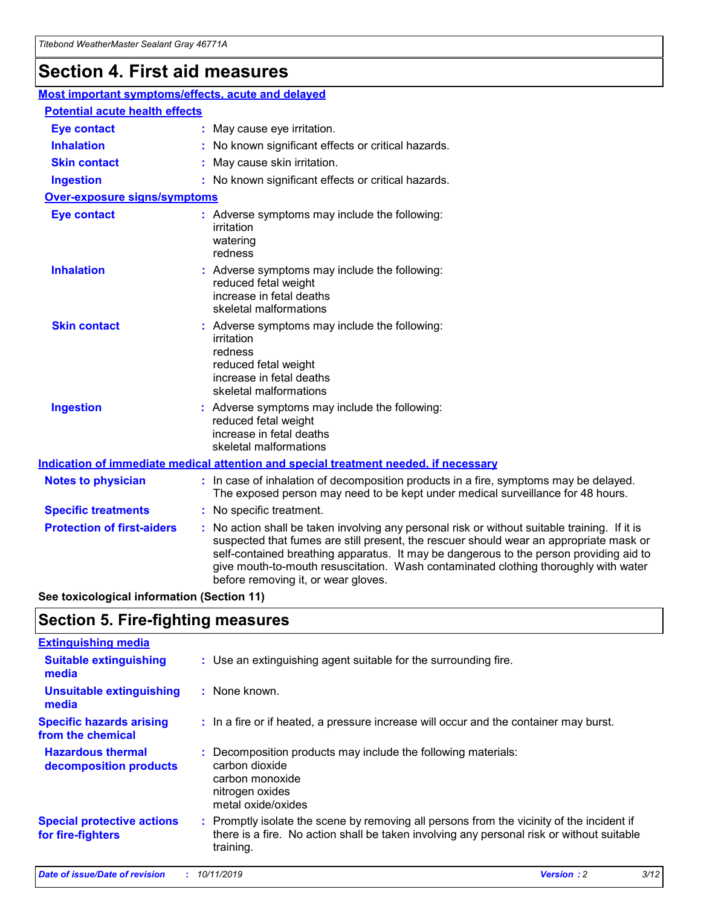## **Section 4. First aid measures**

| Most important symptoms/effects, acute and delayed |  |                                                                                                                                                                                                                                                                                                                                                                                                                 |  |  |
|----------------------------------------------------|--|-----------------------------------------------------------------------------------------------------------------------------------------------------------------------------------------------------------------------------------------------------------------------------------------------------------------------------------------------------------------------------------------------------------------|--|--|
| <b>Potential acute health effects</b>              |  |                                                                                                                                                                                                                                                                                                                                                                                                                 |  |  |
| <b>Eye contact</b>                                 |  | : May cause eye irritation.                                                                                                                                                                                                                                                                                                                                                                                     |  |  |
| <b>Inhalation</b>                                  |  | : No known significant effects or critical hazards.                                                                                                                                                                                                                                                                                                                                                             |  |  |
| <b>Skin contact</b>                                |  | : May cause skin irritation.                                                                                                                                                                                                                                                                                                                                                                                    |  |  |
| <b>Ingestion</b>                                   |  | : No known significant effects or critical hazards.                                                                                                                                                                                                                                                                                                                                                             |  |  |
| Over-exposure signs/symptoms                       |  |                                                                                                                                                                                                                                                                                                                                                                                                                 |  |  |
| <b>Eye contact</b>                                 |  | : Adverse symptoms may include the following:<br>irritation<br>watering<br>redness                                                                                                                                                                                                                                                                                                                              |  |  |
| <b>Inhalation</b>                                  |  | : Adverse symptoms may include the following:<br>reduced fetal weight<br>increase in fetal deaths<br>skeletal malformations                                                                                                                                                                                                                                                                                     |  |  |
| <b>Skin contact</b>                                |  | : Adverse symptoms may include the following:<br>irritation<br>redness<br>reduced fetal weight<br>increase in fetal deaths<br>skeletal malformations                                                                                                                                                                                                                                                            |  |  |
| <b>Ingestion</b>                                   |  | : Adverse symptoms may include the following:<br>reduced fetal weight<br>increase in fetal deaths<br>skeletal malformations                                                                                                                                                                                                                                                                                     |  |  |
|                                                    |  | <b>Indication of immediate medical attention and special treatment needed, if necessary</b>                                                                                                                                                                                                                                                                                                                     |  |  |
| <b>Notes to physician</b>                          |  | : In case of inhalation of decomposition products in a fire, symptoms may be delayed.<br>The exposed person may need to be kept under medical surveillance for 48 hours.                                                                                                                                                                                                                                        |  |  |
| <b>Specific treatments</b>                         |  | : No specific treatment.                                                                                                                                                                                                                                                                                                                                                                                        |  |  |
| <b>Protection of first-aiders</b>                  |  | : No action shall be taken involving any personal risk or without suitable training. If it is<br>suspected that fumes are still present, the rescuer should wear an appropriate mask or<br>self-contained breathing apparatus. It may be dangerous to the person providing aid to<br>give mouth-to-mouth resuscitation. Wash contaminated clothing thoroughly with water<br>before removing it, or wear gloves. |  |  |

**See toxicological information (Section 11)**

### **Section 5. Fire-fighting measures**

| <b>Extinguishing media</b>                             |                                                                                                                                                                                                     |
|--------------------------------------------------------|-----------------------------------------------------------------------------------------------------------------------------------------------------------------------------------------------------|
| <b>Suitable extinguishing</b><br>media                 | : Use an extinguishing agent suitable for the surrounding fire.                                                                                                                                     |
| <b>Unsuitable extinguishing</b><br>media               | $:$ None known.                                                                                                                                                                                     |
| <b>Specific hazards arising</b><br>from the chemical   | : In a fire or if heated, a pressure increase will occur and the container may burst.                                                                                                               |
| <b>Hazardous thermal</b><br>decomposition products     | : Decomposition products may include the following materials:<br>carbon dioxide<br>carbon monoxide<br>nitrogen oxides<br>metal oxide/oxides                                                         |
| <b>Special protective actions</b><br>for fire-fighters | : Promptly isolate the scene by removing all persons from the vicinity of the incident if<br>there is a fire. No action shall be taken involving any personal risk or without suitable<br>training. |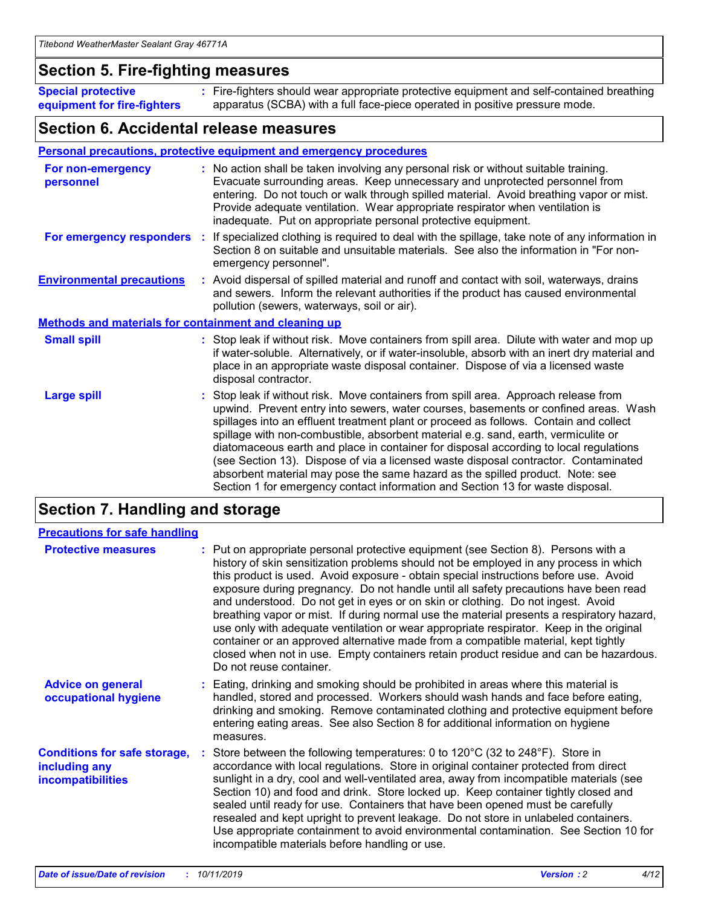### **Section 5. Fire-fighting measures**

**Special protective equipment for fire-fighters** Fire-fighters should wear appropriate protective equipment and self-contained breathing **:** apparatus (SCBA) with a full face-piece operated in positive pressure mode.

### **Section 6. Accidental release measures**

#### **Personal precautions, protective equipment and emergency procedures**

| For non-emergency<br>personnel                               | : No action shall be taken involving any personal risk or without suitable training.<br>Evacuate surrounding areas. Keep unnecessary and unprotected personnel from<br>entering. Do not touch or walk through spilled material. Avoid breathing vapor or mist.<br>Provide adequate ventilation. Wear appropriate respirator when ventilation is<br>inadequate. Put on appropriate personal protective equipment.                                                                                                                                                                                                                                                                                             |
|--------------------------------------------------------------|--------------------------------------------------------------------------------------------------------------------------------------------------------------------------------------------------------------------------------------------------------------------------------------------------------------------------------------------------------------------------------------------------------------------------------------------------------------------------------------------------------------------------------------------------------------------------------------------------------------------------------------------------------------------------------------------------------------|
|                                                              | For emergency responders : If specialized clothing is required to deal with the spillage, take note of any information in<br>Section 8 on suitable and unsuitable materials. See also the information in "For non-<br>emergency personnel".                                                                                                                                                                                                                                                                                                                                                                                                                                                                  |
| <b>Environmental precautions</b>                             | : Avoid dispersal of spilled material and runoff and contact with soil, waterways, drains<br>and sewers. Inform the relevant authorities if the product has caused environmental<br>pollution (sewers, waterways, soil or air).                                                                                                                                                                                                                                                                                                                                                                                                                                                                              |
| <b>Methods and materials for containment and cleaning up</b> |                                                                                                                                                                                                                                                                                                                                                                                                                                                                                                                                                                                                                                                                                                              |
| <b>Small spill</b>                                           | : Stop leak if without risk. Move containers from spill area. Dilute with water and mop up<br>if water-soluble. Alternatively, or if water-insoluble, absorb with an inert dry material and<br>place in an appropriate waste disposal container. Dispose of via a licensed waste<br>disposal contractor.                                                                                                                                                                                                                                                                                                                                                                                                     |
| <b>Large spill</b>                                           | : Stop leak if without risk. Move containers from spill area. Approach release from<br>upwind. Prevent entry into sewers, water courses, basements or confined areas. Wash<br>spillages into an effluent treatment plant or proceed as follows. Contain and collect<br>spillage with non-combustible, absorbent material e.g. sand, earth, vermiculite or<br>diatomaceous earth and place in container for disposal according to local regulations<br>(see Section 13). Dispose of via a licensed waste disposal contractor. Contaminated<br>absorbent material may pose the same hazard as the spilled product. Note: see<br>Section 1 for emergency contact information and Section 13 for waste disposal. |

## **Section 7. Handling and storage**

| <b>Precautions for safe handling</b>                                             |                                                                                                                                                                                                                                                                                                                                                                                                                                                                                                                                                                                                                                                                                                                                                                                                                                                  |
|----------------------------------------------------------------------------------|--------------------------------------------------------------------------------------------------------------------------------------------------------------------------------------------------------------------------------------------------------------------------------------------------------------------------------------------------------------------------------------------------------------------------------------------------------------------------------------------------------------------------------------------------------------------------------------------------------------------------------------------------------------------------------------------------------------------------------------------------------------------------------------------------------------------------------------------------|
| <b>Protective measures</b>                                                       | : Put on appropriate personal protective equipment (see Section 8). Persons with a<br>history of skin sensitization problems should not be employed in any process in which<br>this product is used. Avoid exposure - obtain special instructions before use. Avoid<br>exposure during pregnancy. Do not handle until all safety precautions have been read<br>and understood. Do not get in eyes or on skin or clothing. Do not ingest. Avoid<br>breathing vapor or mist. If during normal use the material presents a respiratory hazard,<br>use only with adequate ventilation or wear appropriate respirator. Keep in the original<br>container or an approved alternative made from a compatible material, kept tightly<br>closed when not in use. Empty containers retain product residue and can be hazardous.<br>Do not reuse container. |
| <b>Advice on general</b><br>occupational hygiene                                 | : Eating, drinking and smoking should be prohibited in areas where this material is<br>handled, stored and processed. Workers should wash hands and face before eating,<br>drinking and smoking. Remove contaminated clothing and protective equipment before<br>entering eating areas. See also Section 8 for additional information on hygiene<br>measures.                                                                                                                                                                                                                                                                                                                                                                                                                                                                                    |
| <b>Conditions for safe storage,</b><br>including any<br><b>incompatibilities</b> | Store between the following temperatures: 0 to 120 $^{\circ}$ C (32 to 248 $^{\circ}$ F). Store in<br>accordance with local regulations. Store in original container protected from direct<br>sunlight in a dry, cool and well-ventilated area, away from incompatible materials (see<br>Section 10) and food and drink. Store locked up. Keep container tightly closed and<br>sealed until ready for use. Containers that have been opened must be carefully<br>resealed and kept upright to prevent leakage. Do not store in unlabeled containers.<br>Use appropriate containment to avoid environmental contamination. See Section 10 for<br>incompatible materials before handling or use.                                                                                                                                                   |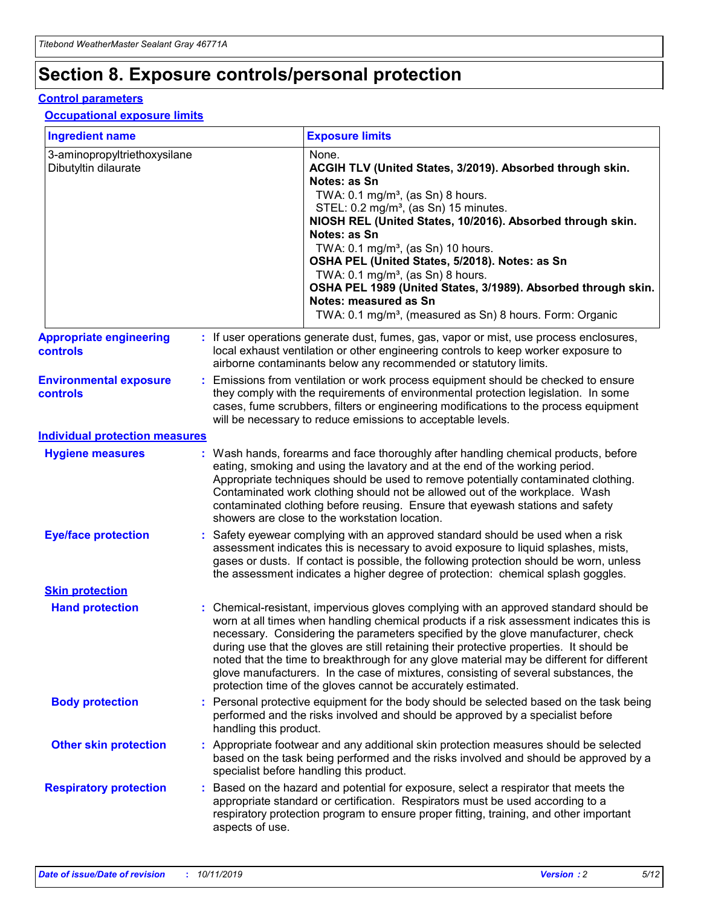## **Section 8. Exposure controls/personal protection**

#### **Control parameters**

#### **Occupational exposure limits**

| <b>Ingredient name</b>                               |    |                                          | <b>Exposure limits</b>                                                                                                                                                                                                                                                                                                                                                                                                                                                                                                                                                                                                 |
|------------------------------------------------------|----|------------------------------------------|------------------------------------------------------------------------------------------------------------------------------------------------------------------------------------------------------------------------------------------------------------------------------------------------------------------------------------------------------------------------------------------------------------------------------------------------------------------------------------------------------------------------------------------------------------------------------------------------------------------------|
| 3-aminopropyltriethoxysilane<br>Dibutyltin dilaurate |    |                                          | None.<br>ACGIH TLV (United States, 3/2019). Absorbed through skin.<br>Notes: as Sn<br>TWA: 0.1 mg/m <sup>3</sup> , (as Sn) 8 hours.<br>STEL: 0.2 mg/m <sup>3</sup> , (as Sn) 15 minutes.<br>NIOSH REL (United States, 10/2016). Absorbed through skin.<br>Notes: as Sn<br>TWA: 0.1 mg/m <sup>3</sup> , (as Sn) 10 hours.<br>OSHA PEL (United States, 5/2018). Notes: as Sn<br>TWA: $0.1 \text{ mg/m}^3$ , (as Sn) 8 hours.<br>OSHA PEL 1989 (United States, 3/1989). Absorbed through skin.<br>Notes: measured as Sn<br>TWA: 0.1 mg/m <sup>3</sup> , (measured as Sn) 8 hours. Form: Organic                           |
| <b>Appropriate engineering</b><br>controls           |    |                                          | : If user operations generate dust, fumes, gas, vapor or mist, use process enclosures,<br>local exhaust ventilation or other engineering controls to keep worker exposure to<br>airborne contaminants below any recommended or statutory limits.                                                                                                                                                                                                                                                                                                                                                                       |
| <b>Environmental exposure</b><br><b>controls</b>     |    |                                          | Emissions from ventilation or work process equipment should be checked to ensure<br>they comply with the requirements of environmental protection legislation. In some<br>cases, fume scrubbers, filters or engineering modifications to the process equipment<br>will be necessary to reduce emissions to acceptable levels.                                                                                                                                                                                                                                                                                          |
| <b>Individual protection measures</b>                |    |                                          |                                                                                                                                                                                                                                                                                                                                                                                                                                                                                                                                                                                                                        |
| <b>Hygiene measures</b>                              |    |                                          | : Wash hands, forearms and face thoroughly after handling chemical products, before<br>eating, smoking and using the lavatory and at the end of the working period.<br>Appropriate techniques should be used to remove potentially contaminated clothing.<br>Contaminated work clothing should not be allowed out of the workplace. Wash<br>contaminated clothing before reusing. Ensure that eyewash stations and safety<br>showers are close to the workstation location.                                                                                                                                            |
| <b>Eye/face protection</b>                           |    |                                          | : Safety eyewear complying with an approved standard should be used when a risk<br>assessment indicates this is necessary to avoid exposure to liquid splashes, mists,<br>gases or dusts. If contact is possible, the following protection should be worn, unless<br>the assessment indicates a higher degree of protection: chemical splash goggles.                                                                                                                                                                                                                                                                  |
| <b>Skin protection</b>                               |    |                                          |                                                                                                                                                                                                                                                                                                                                                                                                                                                                                                                                                                                                                        |
| <b>Hand protection</b>                               |    |                                          | : Chemical-resistant, impervious gloves complying with an approved standard should be<br>worn at all times when handling chemical products if a risk assessment indicates this is<br>necessary. Considering the parameters specified by the glove manufacturer, check<br>during use that the gloves are still retaining their protective properties. It should be<br>noted that the time to breakthrough for any glove material may be different for different<br>glove manufacturers. In the case of mixtures, consisting of several substances, the<br>protection time of the gloves cannot be accurately estimated. |
| <b>Body protection</b>                               |    | handling this product.                   | Personal protective equipment for the body should be selected based on the task being<br>performed and the risks involved and should be approved by a specialist before                                                                                                                                                                                                                                                                                                                                                                                                                                                |
| <b>Other skin protection</b>                         |    | specialist before handling this product. | : Appropriate footwear and any additional skin protection measures should be selected<br>based on the task being performed and the risks involved and should be approved by a                                                                                                                                                                                                                                                                                                                                                                                                                                          |
| <b>Respiratory protection</b>                        | ÷. | aspects of use.                          | Based on the hazard and potential for exposure, select a respirator that meets the<br>appropriate standard or certification. Respirators must be used according to a<br>respiratory protection program to ensure proper fitting, training, and other important                                                                                                                                                                                                                                                                                                                                                         |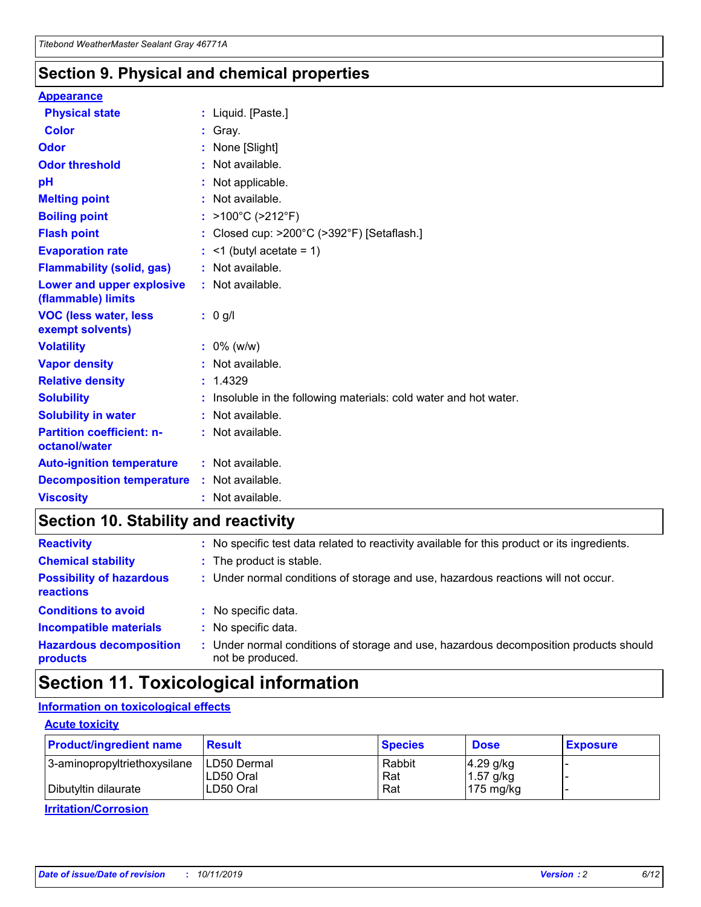### **Section 9. Physical and chemical properties**

#### **Appearance**

| <b>Physical state</b>                             | : Liquid. [Paste.]                                              |
|---------------------------------------------------|-----------------------------------------------------------------|
| Color                                             | Gray.                                                           |
| Odor                                              | : None [Slight]                                                 |
| <b>Odor threshold</b>                             | $:$ Not available.                                              |
| pH                                                | : Not applicable.                                               |
| <b>Melting point</b>                              | : Not available.                                                |
| <b>Boiling point</b>                              | : $>100^{\circ}$ C ( $>212^{\circ}$ F)                          |
| <b>Flash point</b>                                | : Closed cup: >200°C (>392°F) [Setaflash.]                      |
| <b>Evaporation rate</b>                           | $:$ <1 (butyl acetate = 1)                                      |
| <b>Flammability (solid, gas)</b>                  | : Not available.                                                |
| Lower and upper explosive<br>(flammable) limits   | $:$ Not available.                                              |
| <b>VOC (less water, less</b><br>exempt solvents)  | : 0 g/l                                                         |
| <b>Volatility</b>                                 |                                                                 |
|                                                   | $: 0\%$ (w/w)                                                   |
| <b>Vapor density</b>                              | : Not available.                                                |
| <b>Relative density</b>                           | : 1.4329                                                        |
| <b>Solubility</b>                                 | Insoluble in the following materials: cold water and hot water. |
| <b>Solubility in water</b>                        | : Not available.                                                |
| <b>Partition coefficient: n-</b><br>octanol/water | $:$ Not available.                                              |
| <b>Auto-ignition temperature</b>                  | : Not available.                                                |
| <b>Decomposition temperature</b>                  | : Not available.                                                |

## **Section 10. Stability and reactivity**

| <b>Reactivity</b>                            |    | : No specific test data related to reactivity available for this product or its ingredients.            |
|----------------------------------------------|----|---------------------------------------------------------------------------------------------------------|
| <b>Chemical stability</b>                    |    | : The product is stable.                                                                                |
| <b>Possibility of hazardous</b><br>reactions |    | : Under normal conditions of storage and use, hazardous reactions will not occur.                       |
| <b>Conditions to avoid</b>                   |    | : No specific data.                                                                                     |
| <b>Incompatible materials</b>                | ٠. | No specific data.                                                                                       |
| <b>Hazardous decomposition</b><br>products   | ÷. | Under normal conditions of storage and use, hazardous decomposition products should<br>not be produced. |

## **Section 11. Toxicological information**

#### **Information on toxicological effects**

#### **Acute toxicity**

| <b>Product/ingredient name</b> | <b>Result</b>           | <b>Species</b> | <b>Dose</b>                | <b>Exposure</b> |
|--------------------------------|-------------------------|----------------|----------------------------|-----------------|
| 3-aminopropyltriethoxysilane   | <b>ILD50 Dermal</b>     | Rabbit         | 4.29 g/kg                  |                 |
| Dibutyltin dilaurate           | ILD50 Oral<br>LD50 Oral | Rat<br>Rat     | $1.57$ g/kg<br>175 $mg/kg$ |                 |
|                                |                         |                |                            |                 |

**Irritation/Corrosion**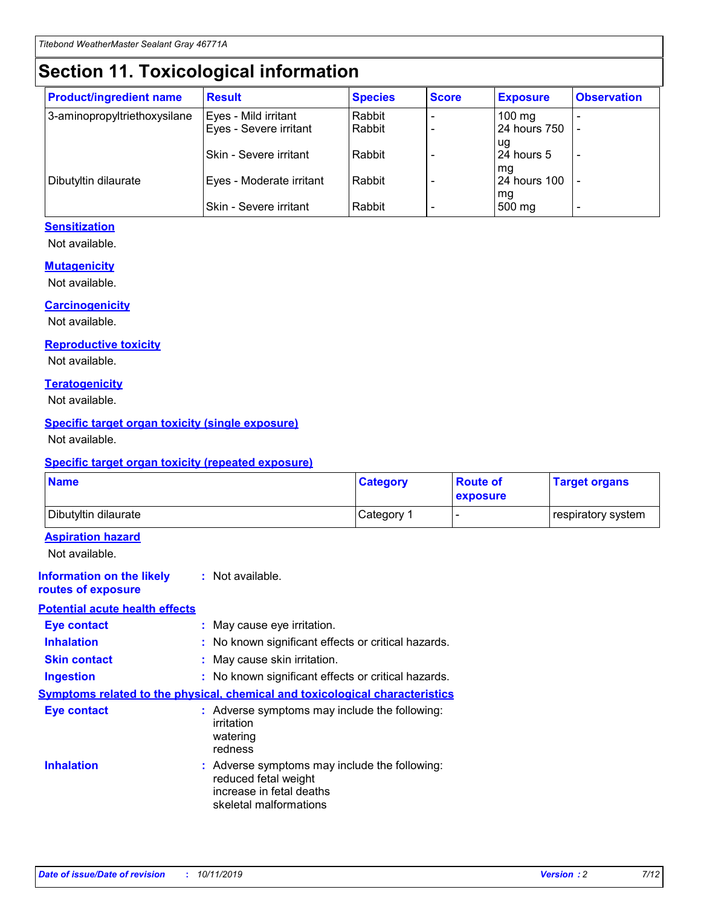## **Section 11. Toxicological information**

| <b>Product/ingredient name</b> | <b>Result</b>            | <b>Species</b> | <b>Score</b> | <b>Exposure</b>           | <b>Observation</b> |
|--------------------------------|--------------------------|----------------|--------------|---------------------------|--------------------|
| 3-aminopropyltriethoxysilane   | Eyes - Mild irritant     | Rabbit         |              | $100$ mg                  |                    |
|                                | Eyes - Severe irritant   | Rabbit         |              | 24 hours 750              |                    |
|                                |                          |                |              | ug                        |                    |
|                                | Skin - Severe irritant   | Rabbit         |              | 24 hours 5                | -                  |
| Dibutyltin dilaurate           | Eyes - Moderate irritant | Rabbit         |              | mq<br><b>24 hours 100</b> |                    |
|                                |                          |                |              | mg                        |                    |
|                                | Skin - Severe irritant   | Rabbit         |              | 500 mg                    |                    |

#### **Sensitization**

Not available.

#### **Mutagenicity**

Not available.

#### **Carcinogenicity**

Not available.

#### **Reproductive toxicity**

Not available.

#### **Teratogenicity**

Not available.

#### **Specific target organ toxicity (single exposure)**

Not available.

#### **Specific target organ toxicity (repeated exposure)**

| <b>Name</b>                                                                         |                                                                            | <b>Category</b>                                     | <b>Route of</b><br>exposure | <b>Target organs</b> |
|-------------------------------------------------------------------------------------|----------------------------------------------------------------------------|-----------------------------------------------------|-----------------------------|----------------------|
| Dibutyltin dilaurate                                                                |                                                                            | Category 1                                          | -                           | respiratory system   |
| <b>Aspiration hazard</b><br>Not available.                                          |                                                                            |                                                     |                             |                      |
| <b>Information on the likely</b><br>routes of exposure                              | : Not available.                                                           |                                                     |                             |                      |
| <b>Potential acute health effects</b>                                               |                                                                            |                                                     |                             |                      |
| <b>Eye contact</b>                                                                  | : May cause eye irritation.                                                |                                                     |                             |                      |
| <b>Inhalation</b>                                                                   |                                                                            | : No known significant effects or critical hazards. |                             |                      |
| <b>Skin contact</b>                                                                 | : May cause skin irritation.                                               |                                                     |                             |                      |
| <b>Ingestion</b>                                                                    |                                                                            | : No known significant effects or critical hazards. |                             |                      |
| <b>Symptoms related to the physical, chemical and toxicological characteristics</b> |                                                                            |                                                     |                             |                      |
| <b>Eye contact</b>                                                                  | irritation<br>watering<br>redness                                          | : Adverse symptoms may include the following:       |                             |                      |
| <b>Inhalation</b>                                                                   | reduced fetal weight<br>increase in fetal deaths<br>skeletal malformations | : Adverse symptoms may include the following:       |                             |                      |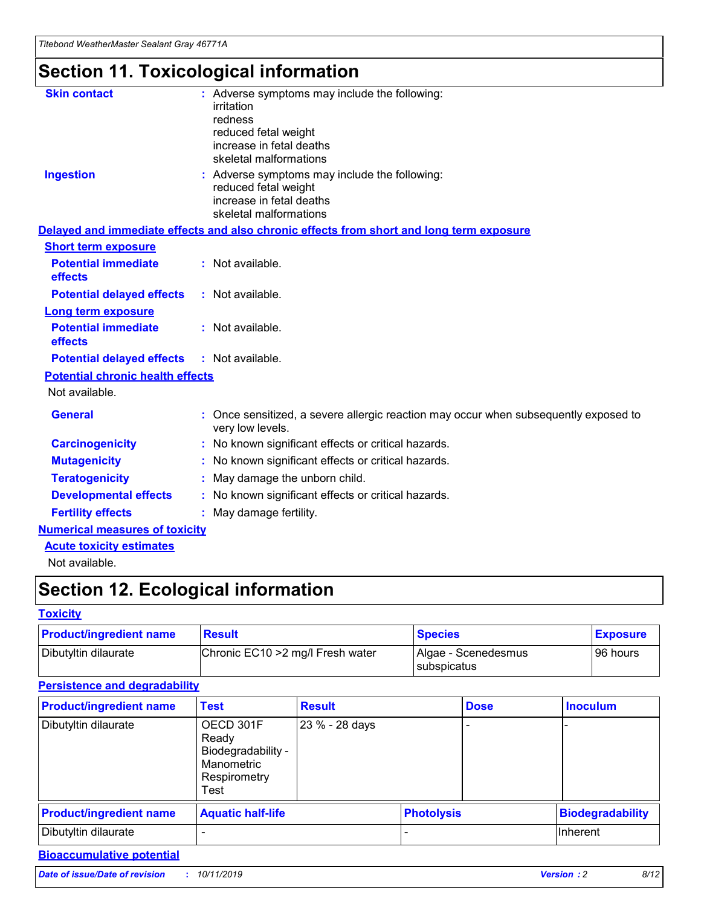## **Section 11. Toxicological information**

| <b>Skin contact</b>                     | : Adverse symptoms may include the following:                                                            |
|-----------------------------------------|----------------------------------------------------------------------------------------------------------|
|                                         | irritation                                                                                               |
|                                         | redness                                                                                                  |
|                                         | reduced fetal weight                                                                                     |
|                                         | increase in fetal deaths                                                                                 |
|                                         | skeletal malformations                                                                                   |
| <b>Ingestion</b>                        | : Adverse symptoms may include the following:                                                            |
|                                         | reduced fetal weight                                                                                     |
|                                         | increase in fetal deaths                                                                                 |
|                                         | skeletal malformations                                                                                   |
|                                         | Delayed and immediate effects and also chronic effects from short and long term exposure                 |
| <b>Short term exposure</b>              |                                                                                                          |
| <b>Potential immediate</b>              | : Not available.                                                                                         |
| effects                                 |                                                                                                          |
| <b>Potential delayed effects</b>        | : Not available.                                                                                         |
| Long term exposure                      |                                                                                                          |
| <b>Potential immediate</b>              | : Not available.                                                                                         |
| effects                                 |                                                                                                          |
| <b>Potential delayed effects</b>        | : Not available.                                                                                         |
| <b>Potential chronic health effects</b> |                                                                                                          |
| Not available.                          |                                                                                                          |
| <b>General</b>                          | : Once sensitized, a severe allergic reaction may occur when subsequently exposed to<br>very low levels. |
| <b>Carcinogenicity</b>                  | : No known significant effects or critical hazards.                                                      |
| <b>Mutagenicity</b>                     | No known significant effects or critical hazards.                                                        |
| <b>Teratogenicity</b>                   | May damage the unborn child.                                                                             |
| <b>Developmental effects</b>            | No known significant effects or critical hazards.                                                        |
| <b>Fertility effects</b>                | : May damage fertility.                                                                                  |
| <b>Numerical measures of toxicity</b>   |                                                                                                          |
| <b>Acute toxicity estimates</b>         |                                                                                                          |
|                                         |                                                                                                          |

Not available.

## **Section 12. Ecological information**

#### **Toxicity**

| <b>Product/ingredient name</b> | <b>Result</b>                     | <b>Species</b>                       | <b>Exposure</b> |
|--------------------------------|-----------------------------------|--------------------------------------|-----------------|
| Dibutyltin dilaurate           | Chronic EC10 > 2 mg/l Fresh water | Algae - Scenedesmus<br>I subspicatus | l 96 hours i    |

#### **Persistence and degradability**

| <b>Product/ingredient name</b> | <b>Test</b>                                                                    | <b>Result</b>  |                   | <b>Dose</b> | <b>Inoculum</b>         |
|--------------------------------|--------------------------------------------------------------------------------|----------------|-------------------|-------------|-------------------------|
| Dibutyltin dilaurate           | OECD 301F<br>Ready<br>Biodegradability -<br>Manometric<br>Respirometry<br>Test | 23 % - 28 days |                   |             |                         |
| <b>Product/ingredient name</b> | <b>Aquatic half-life</b>                                                       |                | <b>Photolysis</b> |             | <b>Biodegradability</b> |
| Dibutyltin dilaurate           |                                                                                |                |                   |             | Inherent                |

#### **Bioaccumulative potential**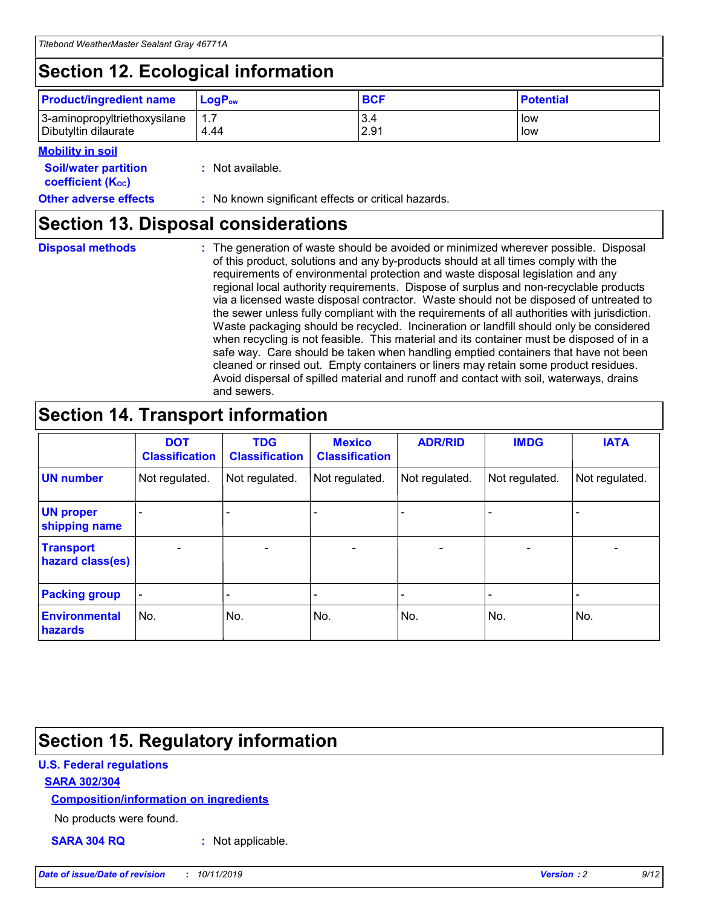## **Section 12. Ecological information**

| <b>Product/ingredient name</b> | $LoaPow$ | <b>BCF</b> | <b>Potential</b> |
|--------------------------------|----------|------------|------------------|
| 3-aminopropyltriethoxysilane   | 1.7      | 3.4        | low              |
| Dibutyltin dilaurate           | 4.44     | 2.91       | low              |

#### **Mobility in soil**

| <b>Soil/water partition</b><br>coefficient (K <sub>oc</sub> ) | : Not available.                                    |
|---------------------------------------------------------------|-----------------------------------------------------|
| <b>Other adverse effects</b>                                  | : No known significant effects or critical hazards. |

### **Section 13. Disposal considerations**

**Disposal methods :**

The generation of waste should be avoided or minimized wherever possible. Disposal of this product, solutions and any by-products should at all times comply with the requirements of environmental protection and waste disposal legislation and any regional local authority requirements. Dispose of surplus and non-recyclable products via a licensed waste disposal contractor. Waste should not be disposed of untreated to the sewer unless fully compliant with the requirements of all authorities with jurisdiction. Waste packaging should be recycled. Incineration or landfill should only be considered when recycling is not feasible. This material and its container must be disposed of in a safe way. Care should be taken when handling emptied containers that have not been cleaned or rinsed out. Empty containers or liners may retain some product residues. Avoid dispersal of spilled material and runoff and contact with soil, waterways, drains and sewers.

## **Section 14. Transport information**

|                                      | <b>DOT</b><br><b>Classification</b> | <b>TDG</b><br><b>Classification</b> | <b>Mexico</b><br><b>Classification</b> | <b>ADR/RID</b> | <b>IMDG</b>              | <b>IATA</b>              |
|--------------------------------------|-------------------------------------|-------------------------------------|----------------------------------------|----------------|--------------------------|--------------------------|
| <b>UN number</b>                     | Not regulated.                      | Not regulated.                      | Not regulated.                         | Not regulated. | Not regulated.           | Not regulated.           |
| <b>UN proper</b><br>shipping name    | $\blacksquare$                      |                                     |                                        |                |                          |                          |
| <b>Transport</b><br>hazard class(es) | $\blacksquare$                      | $\overline{\phantom{a}}$            | $\blacksquare$                         | $\blacksquare$ | $\overline{\phantom{a}}$ | $\overline{\phantom{0}}$ |
| <b>Packing group</b>                 | $\overline{\phantom{a}}$            | $\overline{\phantom{0}}$            | $\overline{\phantom{a}}$               | -              | $\overline{\phantom{0}}$ | $\overline{\phantom{a}}$ |
| <b>Environmental</b><br>hazards      | No.                                 | No.                                 | No.                                    | No.            | No.                      | No.                      |

## **Section 15. Regulatory information**

#### **U.S. Federal regulations**

#### **SARA 302/304**

#### **Composition/information on ingredients**

No products were found.

**SARA 304 RQ :** Not applicable.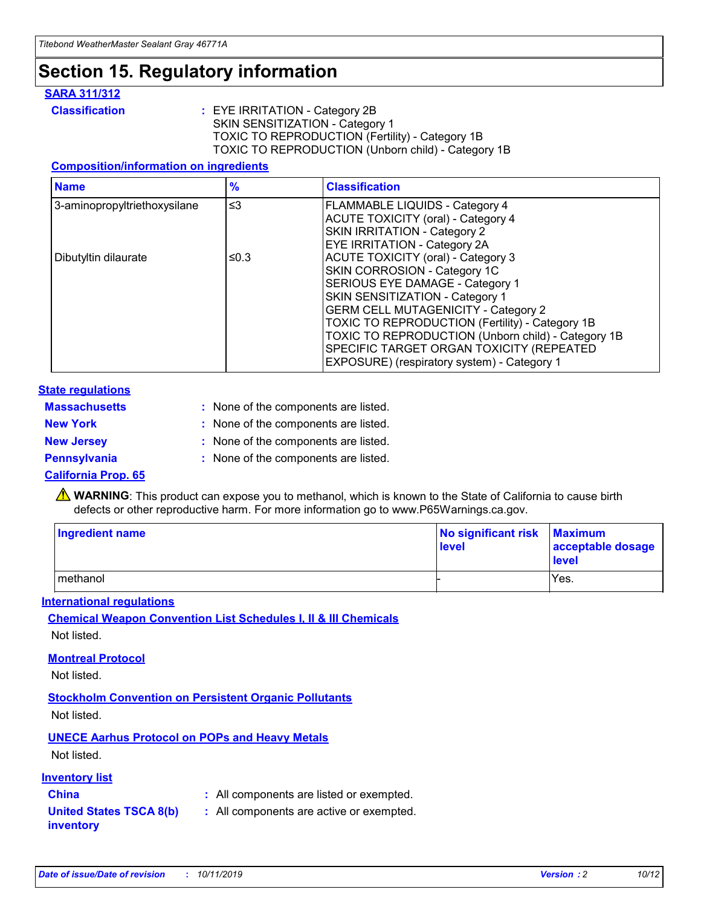## **Section 15. Regulatory information**

#### **SARA 311/312**

**Classification :** EYE IRRITATION - Category 2B SKIN SENSITIZATION - Category 1 TOXIC TO REPRODUCTION (Fertility) - Category 1B TOXIC TO REPRODUCTION (Unborn child) - Category 1B

#### **Composition/information on ingredients**

| <b>Name</b>                  | $\frac{9}{6}$ | <b>Classification</b>                                                                                            |
|------------------------------|---------------|------------------------------------------------------------------------------------------------------------------|
| 3-aminopropyltriethoxysilane | $\leq$ 3      | <b>FLAMMABLE LIQUIDS - Category 4</b><br><b>ACUTE TOXICITY (oral) - Category 4</b>                               |
|                              |               | SKIN IRRITATION - Category 2<br>EYE IRRITATION - Category 2A                                                     |
| Dibutyltin dilaurate         | ≤0.3          | ACUTE TOXICITY (oral) - Category 3<br>SKIN CORROSION - Category 1C                                               |
|                              |               | SERIOUS EYE DAMAGE - Category 1<br>SKIN SENSITIZATION - Category 1<br><b>GERM CELL MUTAGENICITY - Category 2</b> |
|                              |               | TOXIC TO REPRODUCTION (Fertility) - Category 1B<br>TOXIC TO REPRODUCTION (Unborn child) - Category 1B            |
|                              |               | SPECIFIC TARGET ORGAN TOXICITY (REPEATED<br>EXPOSURE) (respiratory system) - Category 1                          |

#### **State regulations**

| <b>Massachusetts</b> | : None of the components are listed. |
|----------------------|--------------------------------------|
| <b>New York</b>      | : None of the components are listed. |
| <b>New Jersey</b>    | : None of the components are listed. |
| <b>Pennsylvania</b>  | : None of the components are listed. |

#### **California Prop. 65**

**A** WARNING: This product can expose you to methanol, which is known to the State of California to cause birth defects or other reproductive harm. For more information go to www.P65Warnings.ca.gov.

| <b>Ingredient name</b> | No significant risk Maximum<br>level | acceptable dosage<br>level |
|------------------------|--------------------------------------|----------------------------|
| methanol               |                                      | Yes.                       |

#### **International regulations**

**Chemical Weapon Convention List Schedules I, II & III Chemicals** Not listed.

#### **Montreal Protocol**

Not listed.

**Stockholm Convention on Persistent Organic Pollutants**

Not listed.

#### **UNECE Aarhus Protocol on POPs and Heavy Metals**

Not listed.

#### **Inventory list**

### **China :** All components are listed or exempted.

**United States TSCA 8(b) inventory :** All components are active or exempted.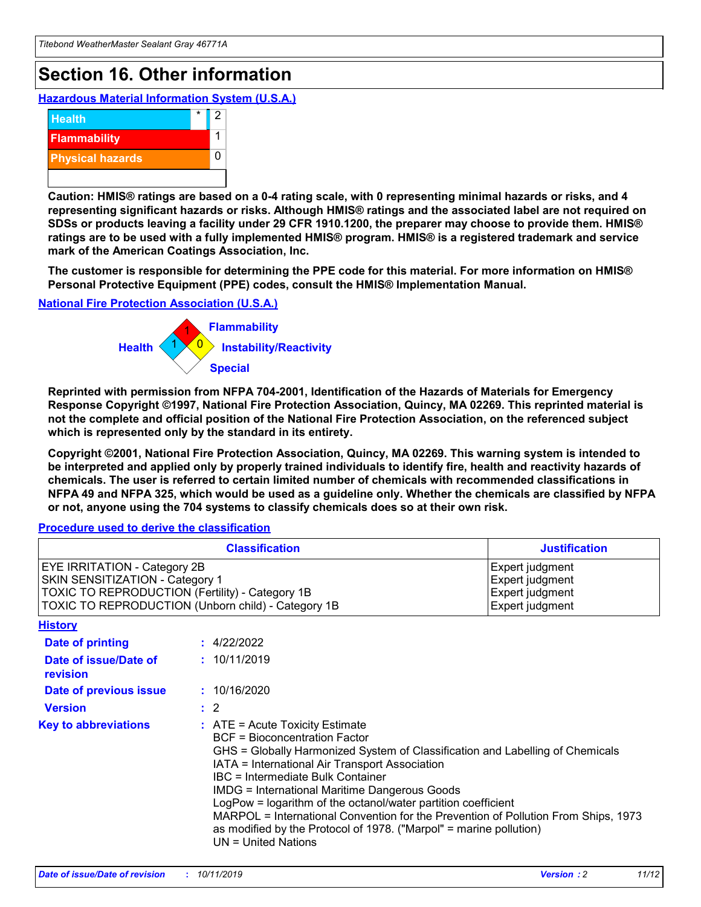## **Section 16. Other information**

**Hazardous Material Information System (U.S.A.)**



**Caution: HMIS® ratings are based on a 0-4 rating scale, with 0 representing minimal hazards or risks, and 4 representing significant hazards or risks. Although HMIS® ratings and the associated label are not required on SDSs or products leaving a facility under 29 CFR 1910.1200, the preparer may choose to provide them. HMIS® ratings are to be used with a fully implemented HMIS® program. HMIS® is a registered trademark and service mark of the American Coatings Association, Inc.**

**The customer is responsible for determining the PPE code for this material. For more information on HMIS® Personal Protective Equipment (PPE) codes, consult the HMIS® Implementation Manual.**

#### **National Fire Protection Association (U.S.A.)**



**Reprinted with permission from NFPA 704-2001, Identification of the Hazards of Materials for Emergency Response Copyright ©1997, National Fire Protection Association, Quincy, MA 02269. This reprinted material is not the complete and official position of the National Fire Protection Association, on the referenced subject which is represented only by the standard in its entirety.**

**Copyright ©2001, National Fire Protection Association, Quincy, MA 02269. This warning system is intended to be interpreted and applied only by properly trained individuals to identify fire, health and reactivity hazards of chemicals. The user is referred to certain limited number of chemicals with recommended classifications in NFPA 49 and NFPA 325, which would be used as a guideline only. Whether the chemicals are classified by NFPA or not, anyone using the 704 systems to classify chemicals does so at their own risk.**

#### **Procedure used to derive the classification**

| <b>Classification</b>                                                                                                                                                    |                                                                                                                                                                                                                                                                                                                                                                                                                                                                                                                                                               | <b>Justification</b>                                                     |
|--------------------------------------------------------------------------------------------------------------------------------------------------------------------------|---------------------------------------------------------------------------------------------------------------------------------------------------------------------------------------------------------------------------------------------------------------------------------------------------------------------------------------------------------------------------------------------------------------------------------------------------------------------------------------------------------------------------------------------------------------|--------------------------------------------------------------------------|
| EYE IRRITATION - Category 2B<br>SKIN SENSITIZATION - Category 1<br>TOXIC TO REPRODUCTION (Fertility) - Category 1B<br>TOXIC TO REPRODUCTION (Unborn child) - Category 1B |                                                                                                                                                                                                                                                                                                                                                                                                                                                                                                                                                               | Expert judgment<br>Expert judgment<br>Expert judgment<br>Expert judgment |
| <b>History</b>                                                                                                                                                           |                                                                                                                                                                                                                                                                                                                                                                                                                                                                                                                                                               |                                                                          |
| <b>Date of printing</b>                                                                                                                                                  | : 4/22/2022                                                                                                                                                                                                                                                                                                                                                                                                                                                                                                                                                   |                                                                          |
| Date of issue/Date of<br>revision                                                                                                                                        | : 10/11/2019                                                                                                                                                                                                                                                                                                                                                                                                                                                                                                                                                  |                                                                          |
| Date of previous issue                                                                                                                                                   | : 10/16/2020                                                                                                                                                                                                                                                                                                                                                                                                                                                                                                                                                  |                                                                          |
| <b>Version</b>                                                                                                                                                           | $\therefore$ 2                                                                                                                                                                                                                                                                                                                                                                                                                                                                                                                                                |                                                                          |
| <b>Key to abbreviations</b>                                                                                                                                              | $:$ ATE = Acute Toxicity Estimate<br><b>BCF</b> = Bioconcentration Factor<br>GHS = Globally Harmonized System of Classification and Labelling of Chemicals<br>IATA = International Air Transport Association<br>IBC = Intermediate Bulk Container<br><b>IMDG = International Maritime Dangerous Goods</b><br>LogPow = logarithm of the octanol/water partition coefficient<br>MARPOL = International Convention for the Prevention of Pollution From Ships, 1973<br>as modified by the Protocol of 1978. ("Marpol" = marine pollution)<br>UN = United Nations |                                                                          |